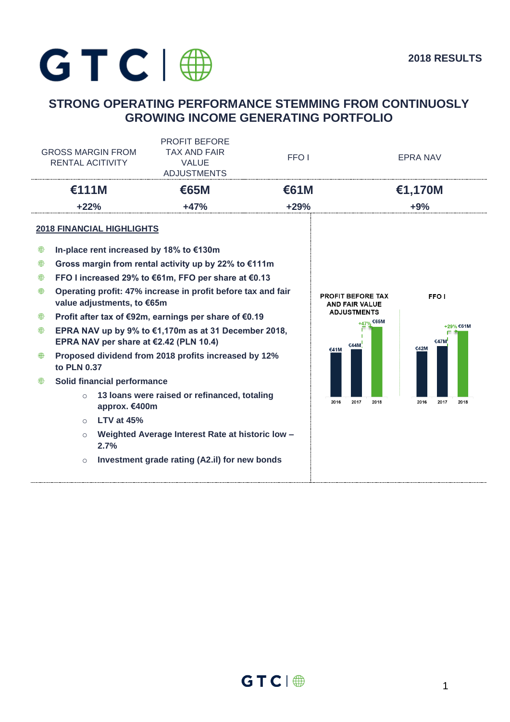

# **STRONG OPERATING PERFORMANCE STEMMING FROM CONTINUOSLY GROWING INCOME GENERATING PORTFOLIO**

| <b>GROSS MARGIN FROM</b><br><b>RENTAL ACITIVITY</b> |                                                                                                  | <b>PROFIT BEFORE</b><br><b>TAX AND FAIR</b><br>FFO <sub>1</sub><br><b>VALUE</b><br><b>ADJUSTMENTS</b> |      |                                                   | <b>EPRA NAV</b>           |  |
|-----------------------------------------------------|--------------------------------------------------------------------------------------------------|-------------------------------------------------------------------------------------------------------|------|---------------------------------------------------|---------------------------|--|
|                                                     | €111M                                                                                            | <b>€65M</b>                                                                                           | €61M |                                                   | €1,170M                   |  |
| $+22%$                                              |                                                                                                  | $+29%$<br>$+47%$                                                                                      |      | $+9%$                                             |                           |  |
|                                                     | <b>2018 FINANCIAL HIGHLIGHTS</b>                                                                 |                                                                                                       |      |                                                   |                           |  |
| ₩                                                   | In-place rent increased by 18% to €130m                                                          |                                                                                                       |      |                                                   |                           |  |
| ₩                                                   |                                                                                                  | Gross margin from rental activity up by 22% to €111m                                                  |      |                                                   |                           |  |
| ⊕                                                   |                                                                                                  | FFO I increased 29% to €61m, FFO per share at €0.13                                                   |      |                                                   |                           |  |
| ⊕                                                   | Operating profit: 47% increase in profit before tax and fair<br>value adjustments, to €65m       |                                                                                                       |      | <b>PROFIT BEFORE TAX</b><br><b>AND FAIR VALUE</b> | FFO <sub>I</sub>          |  |
| ⊕                                                   |                                                                                                  | Profit after tax of €92m, earnings per share of €0.19                                                 |      | <b>ADJUSTMENTS</b><br>+47% €65M                   |                           |  |
| ⊕                                                   | EPRA NAV up by 9% to €1,170m as at 31 December 2018,<br>EPRA NAV per share at $£2.42$ (PLN 10.4) |                                                                                                       |      | €44M                                              | +29% €61M<br>€47M<br>€42M |  |
| ⊕                                                   | to PLN 0.37                                                                                      | Proposed dividend from 2018 profits increased by 12%                                                  |      | €41M                                              |                           |  |
| ₩                                                   | Solid financial performance                                                                      |                                                                                                       |      |                                                   |                           |  |
|                                                     | $\circ$<br>approx. €400m                                                                         | 13 Ioans were raised or refinanced, totaling                                                          |      | 2016<br>2017<br>2018                              | 2016<br>2017<br>2018      |  |
|                                                     | <b>LTV at 45%</b><br>$\Omega$                                                                    |                                                                                                       |      |                                                   |                           |  |
|                                                     | $\circ$<br>2.7%                                                                                  | Weighted Average Interest Rate at historic low -                                                      |      |                                                   |                           |  |
|                                                     | $\circ$                                                                                          | Investment grade rating (A2.il) for new bonds                                                         |      |                                                   |                           |  |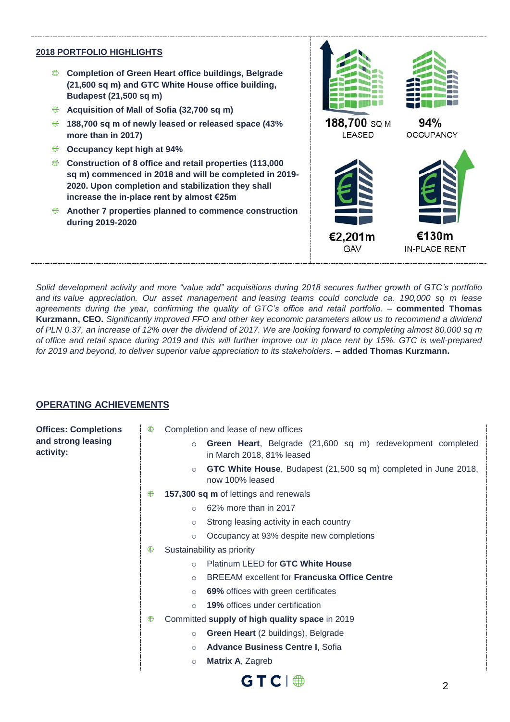## **2018 PORTFOLIO HIGHLIGHTS**

- **Completion of Green Heart office buildings, Belgrade (21,600 sq m) and GTC White House office building, Budapest (21,500 sq m)**
- **Acquisition of Mall of Sofia (32,700 sq m)**
- **188,700 sq m of newly leased or released space (43% more than in 2017)**
- ⊕ **Occupancy kept high at 94%**
- **Construction of 8 office and retail properties (113,000 sq m) commenced in 2018 and will be completed in 2019- 2020. Upon completion and stabilization they shall increase the in-place rent by almost €25m**
- **Another 7 properties planned to commence construction during 2019-2020**



*Solid development activity and more "value add" acquisitions during 2018 secures further growth of GTC's portfolio and its value appreciation. Our asset management and leasing teams could conclude ca. 190,000 sq m lease agreements during the year, confirming the quality of GTC's office and retail portfolio. –* **commented Thomas Kurzmann, CEO.** *Significantly improved FFO and other key economic parameters allow us to recommend a dividend of PLN 0.37, an increase of 12% over the dividend of 2017. We are looking forward to completing almost 80,000 sq m of office and retail space during 2019 and this will further improve our in place rent by 15%. GTC is well-prepared*  for 2019 and beyond, to deliver superior value appreciation to its stakeholders. **– added Thomas Kurzmann.** 

# **OPERATING ACHIEVEMENTS**

**Offices: Completions and strong leasing activity:**

- Completion and lease of new offices
	- o **Green Heart**, Belgrade (21,600 sq m) redevelopment completed in March 2018, 81% leased
		- o **GTC White House**, Budapest (21,500 sq m) completed in June 2018, now 100% leased
- **157,300 sq m** of lettings and renewals
	- o 62% more than in 2017
	- o Strong leasing activity in each country
	- o Occupancy at 93% despite new completions
- ⊕ Sustainability as priority
	- o Platinum LEED for **GTC White House**
	- o BREEAM excellent for **Francuska Office Centre**
	- o **69%** offices with green certificates
	- o **19%** offices under certification
- Committed **supply of high quality space** in 2019
	- o **Green Heart** (2 buildings), Belgrade
	- o **Advance Business Centre I**, Sofia
	- o **Matrix A**, Zagreb

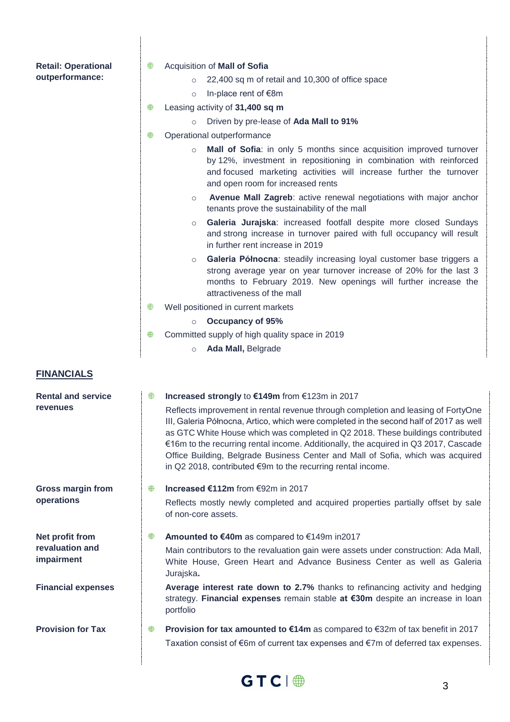| <b>Retail: Operational</b>    | ⊕ | Acquisition of Mall of Sofia                                                                                                                                                                                                                                                                                                                                                                                                                                                                           |
|-------------------------------|---|--------------------------------------------------------------------------------------------------------------------------------------------------------------------------------------------------------------------------------------------------------------------------------------------------------------------------------------------------------------------------------------------------------------------------------------------------------------------------------------------------------|
| outperformance:               |   | 22,400 sq m of retail and 10,300 of office space<br>$\circ$                                                                                                                                                                                                                                                                                                                                                                                                                                            |
|                               |   | In-place rent of €8m<br>$\circ$                                                                                                                                                                                                                                                                                                                                                                                                                                                                        |
|                               | ₩ | Leasing activity of 31,400 sq m                                                                                                                                                                                                                                                                                                                                                                                                                                                                        |
|                               |   | Driven by pre-lease of Ada Mall to 91%<br>$\circ$                                                                                                                                                                                                                                                                                                                                                                                                                                                      |
|                               | ₩ | Operational outperformance                                                                                                                                                                                                                                                                                                                                                                                                                                                                             |
|                               |   | Mall of Sofia: in only 5 months since acquisition improved turnover<br>$\circ$<br>by 12%, investment in repositioning in combination with reinforced<br>and focused marketing activities will increase further the turnover<br>and open room for increased rents                                                                                                                                                                                                                                       |
|                               |   | Avenue Mall Zagreb: active renewal negotiations with major anchor<br>$\circ$<br>tenants prove the sustainability of the mall                                                                                                                                                                                                                                                                                                                                                                           |
|                               |   | Galeria Jurajska: increased footfall despite more closed Sundays<br>$\circ$<br>and strong increase in turnover paired with full occupancy will result<br>in further rent increase in 2019                                                                                                                                                                                                                                                                                                              |
|                               |   | Galeria Północna: steadily increasing loyal customer base triggers a<br>$\circ$<br>strong average year on year turnover increase of 20% for the last 3<br>months to February 2019. New openings will further increase the<br>attractiveness of the mall                                                                                                                                                                                                                                                |
|                               | ⊕ | Well positioned in current markets                                                                                                                                                                                                                                                                                                                                                                                                                                                                     |
|                               |   | <b>Occupancy of 95%</b><br>$\circ$                                                                                                                                                                                                                                                                                                                                                                                                                                                                     |
|                               | ₩ | Committed supply of high quality space in 2019                                                                                                                                                                                                                                                                                                                                                                                                                                                         |
|                               |   | Ada Mall, Belgrade<br>$\circ$                                                                                                                                                                                                                                                                                                                                                                                                                                                                          |
| <b>FINANCIALS</b>             |   |                                                                                                                                                                                                                                                                                                                                                                                                                                                                                                        |
| <b>Rental and service</b>     | ⊕ | Increased strongly to €149m from €123m in 2017                                                                                                                                                                                                                                                                                                                                                                                                                                                         |
| <b>revenues</b>               |   | Reflects improvement in rental revenue through completion and leasing of FortyOne<br>III, Galeria Północna, Artico, which were completed in the second half of 2017 as well<br>as GTC White House which was completed in Q2 2018. These buildings contributed<br>€16m to the recurring rental income. Additionally, the acquired in Q3 2017, Cascade<br>Office Building, Belgrade Business Center and Mall of Sofia, which was acquired<br>in Q2 2018, contributed €9m to the recurring rental income. |
| <b>Gross margin from</b>      | ⊕ | Increased €112m from €92m in 2017                                                                                                                                                                                                                                                                                                                                                                                                                                                                      |
| operations                    |   | Reflects mostly newly completed and acquired properties partially offset by sale<br>of non-core assets.                                                                                                                                                                                                                                                                                                                                                                                                |
| Net profit from               | ₩ | Amounted to €40m as compared to €149m in2017                                                                                                                                                                                                                                                                                                                                                                                                                                                           |
| revaluation and<br>impairment |   | Main contributors to the revaluation gain were assets under construction: Ada Mall,<br>White House, Green Heart and Advance Business Center as well as Galeria<br>Jurajska.                                                                                                                                                                                                                                                                                                                            |
| <b>Financial expenses</b>     |   | Average interest rate down to 2.7% thanks to refinancing activity and hedging<br>strategy. Financial expenses remain stable at €30m despite an increase in loan<br>portfolio                                                                                                                                                                                                                                                                                                                           |
| <b>Provision for Tax</b>      | ₩ | <b>Provision for tax amounted to €14m</b> as compared to €32m of tax benefit in 2017                                                                                                                                                                                                                                                                                                                                                                                                                   |
|                               |   | Taxation consist of €6m of current tax expenses and €7m of deferred tax expenses.                                                                                                                                                                                                                                                                                                                                                                                                                      |

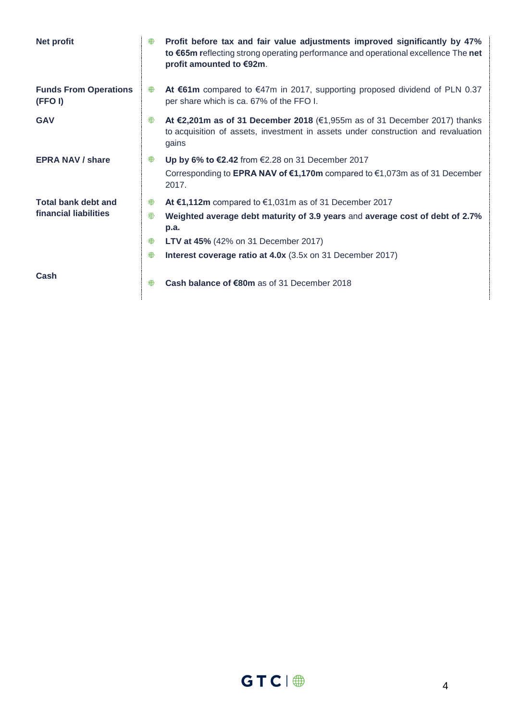| <b>Net profit</b>                       | ⊕ | Profit before tax and fair value adjustments improved significantly by 47%<br>to €65m reflecting strong operating performance and operational excellence The net<br>profit amounted to €92m. |
|-----------------------------------------|---|----------------------------------------------------------------------------------------------------------------------------------------------------------------------------------------------|
| <b>Funds From Operations</b><br>(FFO I) | ₩ | At €61m compared to €47m in 2017, supporting proposed dividend of PLN 0.37<br>per share which is ca. 67% of the FFO I.                                                                       |
| <b>GAV</b>                              | ⊕ | At €2,201m as of 31 December 2018 (€1,955m as of 31 December 2017) thanks<br>to acquisition of assets, investment in assets under construction and revaluation<br>gains                      |
| <b>EPRA NAV / share</b>                 | ₩ | Up by 6% to $\epsilon$ 2.42 from $\epsilon$ 2.28 on 31 December 2017                                                                                                                         |
|                                         |   | Corresponding to EPRA NAV of $\epsilon$ 1,170m compared to $\epsilon$ 1,073m as of 31 December<br>2017.                                                                                      |
| <b>Total bank debt and</b>              | ⊕ | At €1,112m compared to $€1,031m$ as of 31 December 2017                                                                                                                                      |
| financial liabilities                   | ⊕ | Weighted average debt maturity of 3.9 years and average cost of debt of 2.7%<br>p.a.                                                                                                         |
|                                         | ⊕ | <b>LTV at 45%</b> (42% on 31 December 2017)                                                                                                                                                  |
|                                         | ⊕ | Interest coverage ratio at 4.0x (3.5x on 31 December 2017)                                                                                                                                   |
| Cash                                    | ⊕ | Cash balance of €80m as of 31 December 2018                                                                                                                                                  |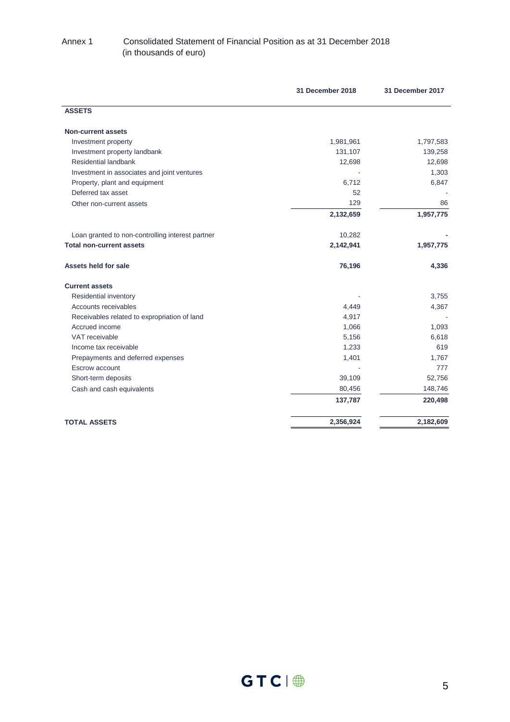### Annex 1 Consolidated Statement of Financial Position as at 31 December 2018 (in thousands of euro)

|                                                  | 31 December 2018 | 31 December 2017 |
|--------------------------------------------------|------------------|------------------|
| <b>ASSETS</b>                                    |                  |                  |
| <b>Non-current assets</b>                        |                  |                  |
| Investment property                              | 1,981,961        | 1,797,583        |
| Investment property landbank                     | 131,107          | 139,258          |
| Residential landbank                             | 12,698           | 12,698           |
| Investment in associates and joint ventures      |                  | 1,303            |
| Property, plant and equipment                    | 6,712            | 6,847            |
| Deferred tax asset                               | 52               |                  |
| Other non-current assets                         | 129              | 86               |
|                                                  | 2,132,659        | 1,957,775        |
| Loan granted to non-controlling interest partner | 10,282           |                  |
| <b>Total non-current assets</b>                  | 2,142,941        | 1,957,775        |
| Assets held for sale                             | 76,196           | 4,336            |
| <b>Current assets</b>                            |                  |                  |
| Residential inventory                            |                  | 3,755            |
| Accounts receivables                             | 4,449            | 4,367            |
| Receivables related to expropriation of land     | 4,917            |                  |
| Accrued income                                   | 1,066            | 1,093            |
| VAT receivable                                   | 5,156            | 6,618            |
| Income tax receivable                            | 1,233            | 619              |
| Prepayments and deferred expenses                | 1,401            | 1,767            |
| Escrow account                                   |                  | 777              |
| Short-term deposits                              | 39,109           | 52,756           |
| Cash and cash equivalents                        | 80,456           | 148,746          |
|                                                  | 137,787          | 220,498          |
| <b>TOTAL ASSETS</b>                              | 2,356,924        | 2,182,609        |
|                                                  |                  |                  |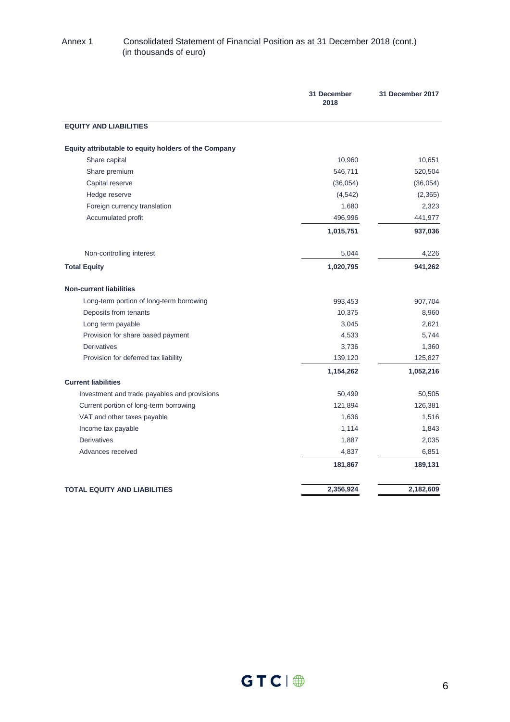### Annex 1 Consolidated Statement of Financial Position as at 31 December 2018 (cont.) (in thousands of euro)

|                                                      | 31 December<br>2018 | 31 December 2017 |
|------------------------------------------------------|---------------------|------------------|
| <b>EQUITY AND LIABILITIES</b>                        |                     |                  |
| Equity attributable to equity holders of the Company |                     |                  |
| Share capital                                        | 10,960              | 10,651           |
| Share premium                                        | 546,711             | 520,504          |
| Capital reserve                                      | (36, 054)           | (36,054)         |
| Hedge reserve                                        | (4, 542)            | (2,365)          |
| Foreign currency translation                         | 1,680               | 2,323            |
| Accumulated profit                                   | 496,996             | 441,977          |
|                                                      | 1,015,751           | 937,036          |
| Non-controlling interest                             | 5,044               | 4,226            |
| <b>Total Equity</b>                                  | 1,020,795           | 941,262          |
| <b>Non-current liabilities</b>                       |                     |                  |
| Long-term portion of long-term borrowing             | 993,453             | 907,704          |
| Deposits from tenants                                | 10,375              | 8,960            |
| Long term payable                                    | 3,045               | 2,621            |
| Provision for share based payment                    | 4,533               | 5,744            |
| <b>Derivatives</b>                                   | 3,736               | 1,360            |
| Provision for deferred tax liability                 | 139,120             | 125,827          |
|                                                      | 1,154,262           | 1,052,216        |
| <b>Current liabilities</b>                           |                     |                  |
| Investment and trade payables and provisions         | 50,499              | 50,505           |
| Current portion of long-term borrowing               | 121,894             | 126,381          |
| VAT and other taxes payable                          | 1,636               | 1,516            |
| Income tax payable                                   | 1,114               | 1,843            |
| <b>Derivatives</b>                                   | 1,887               | 2,035            |
| Advances received                                    | 4,837               | 6,851            |
|                                                      | 181,867             | 189,131          |
| <b>TOTAL EQUITY AND LIABILITIES</b>                  | 2,356,924           | 2,182,609        |
|                                                      |                     |                  |

 $GTC \parallel \bigoplus$  6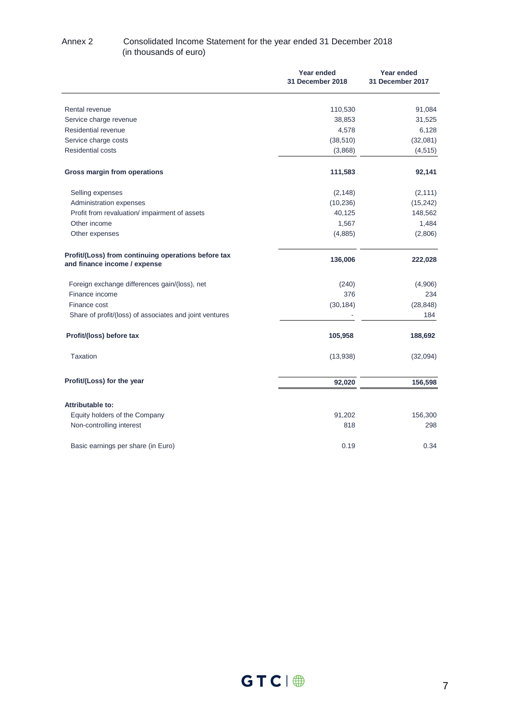### Annex 2 Consolidated Income Statement for the year ended 31 December 2018 (in thousands of euro)

|                                                                                     | <b>Year ended</b><br>31 December 2018 | Year ended<br>31 December 2017 |
|-------------------------------------------------------------------------------------|---------------------------------------|--------------------------------|
| Rental revenue                                                                      | 110,530                               | 91,084                         |
| Service charge revenue                                                              | 38,853                                | 31,525                         |
| Residential revenue                                                                 | 4,578                                 | 6,128                          |
| Service charge costs                                                                | (38, 510)                             | (32,081)                       |
| <b>Residential costs</b>                                                            | (3,868)                               | (4, 515)                       |
| Gross margin from operations                                                        | 111,583                               | 92,141                         |
| Selling expenses                                                                    | (2, 148)                              | (2, 111)                       |
| Administration expenses                                                             | (10, 236)                             | (15, 242)                      |
| Profit from revaluation/ impairment of assets                                       | 40,125                                | 148,562                        |
| Other income                                                                        | 1,567                                 | 1,484                          |
| Other expenses                                                                      | (4,885)                               | (2,806)                        |
| Profit/(Loss) from continuing operations before tax<br>and finance income / expense | 136,006                               | 222,028                        |
| Foreign exchange differences gain/(loss), net                                       | (240)                                 | (4,906)                        |
| Finance income                                                                      | 376                                   | 234                            |
| Finance cost                                                                        | (30, 184)                             | (28, 848)                      |
| Share of profit/(loss) of associates and joint ventures                             |                                       | 184                            |
| Profit/(loss) before tax                                                            | 105,958                               | 188,692                        |
| <b>Taxation</b>                                                                     | (13,938)                              | (32,094)                       |
| Profit/(Loss) for the year                                                          | 92,020                                | 156,598                        |
| <b>Attributable to:</b>                                                             |                                       |                                |
| Equity holders of the Company                                                       | 91,202                                | 156,300                        |
| Non-controlling interest                                                            | 818                                   | 298                            |
| Basic earnings per share (in Euro)                                                  | 0.19                                  | 0.34                           |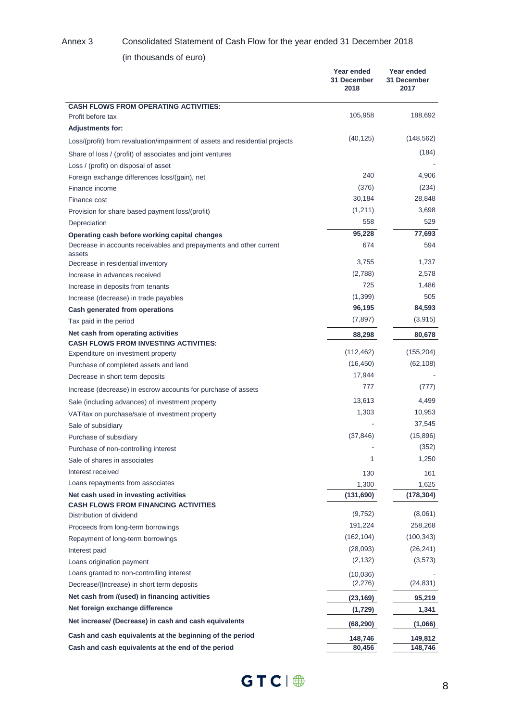#### Annex 3 Consolidated Statement of Cash Flow for the year ended 31 December 2018

(in thousands of euro)

|                                                                                                                | Year ended<br>31 December<br>2018 | Year ended<br>31 December<br>2017 |
|----------------------------------------------------------------------------------------------------------------|-----------------------------------|-----------------------------------|
| <b>CASH FLOWS FROM OPERATING ACTIVITIES:</b>                                                                   |                                   |                                   |
| Profit before tax                                                                                              | 105,958                           | 188,692                           |
| <b>Adjustments for:</b>                                                                                        |                                   |                                   |
| Loss/(profit) from revaluation/impairment of assets and residential projects                                   | (40, 125)                         | (148,562)                         |
| Share of loss / (profit) of associates and joint ventures                                                      |                                   | (184)                             |
| Loss / (profit) on disposal of asset                                                                           |                                   |                                   |
| Foreign exchange differences loss/(gain), net                                                                  | 240                               | 4,906                             |
| Finance income                                                                                                 | (376)                             | (234)                             |
| Finance cost                                                                                                   | 30,184                            | 28,848                            |
| Provision for share based payment loss/(profit)                                                                | (1,211)                           | 3,698                             |
| Depreciation                                                                                                   | 558                               | 529                               |
| Operating cash before working capital changes                                                                  | 95,228                            | 77,693                            |
| Decrease in accounts receivables and prepayments and other current<br>assets                                   | 674                               | 594                               |
| Decrease in residential inventory                                                                              | 3,755                             | 1,737                             |
| Increase in advances received                                                                                  | (2,788)                           | 2,578                             |
| Increase in deposits from tenants                                                                              | 725                               | 1,486                             |
| Increase (decrease) in trade payables                                                                          | (1, 399)                          | 505                               |
| Cash generated from operations                                                                                 | 96,195                            | 84,593                            |
| Tax paid in the period                                                                                         | (7, 897)                          | (3, 915)                          |
| Net cash from operating activities                                                                             | 88,298                            | 80,678                            |
| <b>CASH FLOWS FROM INVESTING ACTIVITIES:</b><br>Expenditure on investment property                             | (112, 462)                        | (155, 204)                        |
| Purchase of completed assets and land                                                                          | (16, 450)                         | (62, 108)                         |
| Decrease in short term deposits                                                                                | 17,944                            |                                   |
| Increase (decrease) in escrow accounts for purchase of assets                                                  | 777                               | (777)                             |
|                                                                                                                | 13,613                            | 4,499                             |
| Sale (including advances) of investment property                                                               | 1,303                             | 10,953                            |
| VAT/tax on purchase/sale of investment property                                                                |                                   | 37,545                            |
| Sale of subsidiary                                                                                             | (37, 846)                         | (15,896)                          |
| Purchase of subsidiary<br>Purchase of non-controlling interest                                                 |                                   | (352)                             |
| Sale of shares in associates                                                                                   | 1                                 | 1,250                             |
| Interest received                                                                                              |                                   |                                   |
| Loans repayments from associates                                                                               | 130                               | 161                               |
| Net cash used in investing activities                                                                          | 1,300                             | 1,625                             |
| <b>CASH FLOWS FROM FINANCING ACTIVITIES</b>                                                                    | (131,690)                         | (178, 304)                        |
| Distribution of dividend                                                                                       | (9, 752)                          | (8,061)                           |
| Proceeds from long-term borrowings                                                                             | 191,224                           | 258,268                           |
| Repayment of long-term borrowings                                                                              | (162, 104)                        | (100,343)                         |
| Interest paid                                                                                                  | (28,093)                          | (26, 241)                         |
| Loans origination payment                                                                                      | (2, 132)                          | (3, 573)                          |
| Loans granted to non-controlling interest                                                                      | (10,036)                          |                                   |
| Decrease/(Increase) in short term deposits                                                                     | (2,276)                           | (24, 831)                         |
| Net cash from /(used) in financing activities                                                                  | (23, 169)                         | 95,219                            |
| Net foreign exchange difference                                                                                | (1,729)                           | 1,341                             |
| Net increase/ (Decrease) in cash and cash equivalents                                                          | (68,290)                          | (1,066)                           |
| Cash and cash equivalents at the beginning of the period<br>Cash and cash equivalents at the end of the period | 148,746<br>80,456                 | 149,812<br>148,746                |

 $GTC \mid \bigoplus$  8